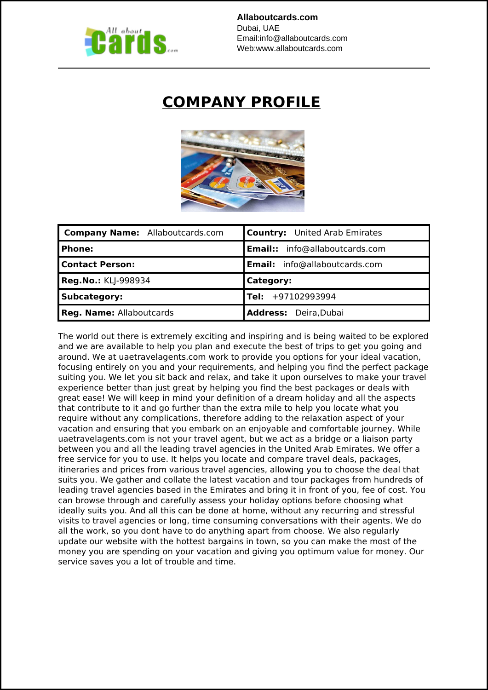

## **COMPANY PROFILE**



| <b>Company Name:</b> Allaboutcards.com | <b>Country:</b> United Arab Emirates |
|----------------------------------------|--------------------------------------|
| Phone:                                 | Email:: info@allaboutcards.com       |
| <b>Contact Person:</b>                 | Email: info@allaboutcards.com        |
| <b>Reg.No.: KLJ-998934</b>             | Category:                            |
| <b>Subcategory:</b>                    | $ Tel: +97102993994$                 |
| <b>Reg. Name: Allaboutcards</b>        | Address: Deira, Dubai                |

The world out there is extremely exciting and inspiring and is being waited to be explored and we are available to help you plan and execute the best of trips to get you going and around. We at uaetravelagents.com work to provide you options for your ideal vacation, focusing entirely on you and your requirements, and helping you find the perfect package suiting you. We let you sit back and relax, and take it upon ourselves to make your travel experience better than just great by helping you find the best packages or deals with great ease! We will keep in mind your definition of a dream holiday and all the aspects that contribute to it and go further than the extra mile to help you locate what you require without any complications, therefore adding to the relaxation aspect of your vacation and ensuring that you embark on an enjoyable and comfortable journey. While uaetravelagents.com is not your travel agent, but we act as a bridge or a liaison party between you and all the leading travel agencies in the United Arab Emirates. We offer a free service for you to use. It helps you locate and compare travel deals, packages, itineraries and prices from various travel agencies, allowing you to choose the deal that suits you. We gather and collate the latest vacation and tour packages from hundreds of leading travel agencies based in the Emirates and bring it in front of you, fee of cost. You can browse through and carefully assess your holiday options before choosing what ideally suits you. And all this can be done at home, without any recurring and stressful visits to travel agencies or long, time consuming conversations with their agents. We do all the work, so you dont have to do anything apart from choose. We also regularly update our website with the hottest bargains in town, so you can make the most of the money you are spending on your vacation and giving you optimum value for money. Our service saves you a lot of trouble and time.